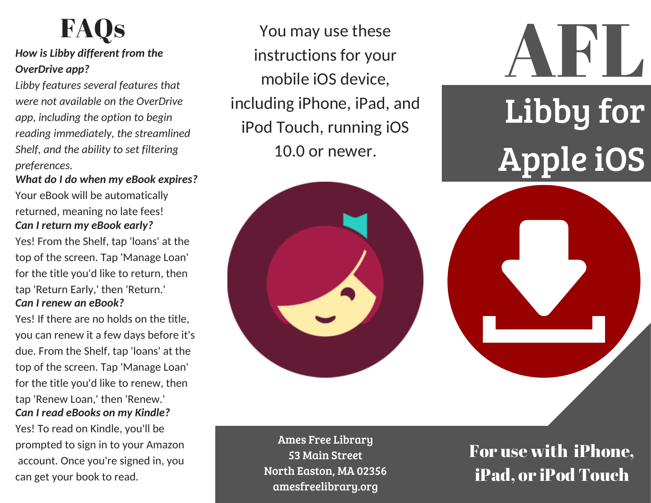# **FAQs**

#### *How is Libby different from the OverDrive app?*

*Libby features several features that were not available on the OverDrive app, including the option to begin reading immediately, the streamlined Shelf, and the ability to set filtering preferences.*

*What do I do when my eBook expires?* Your eBook will be automatically returned, meaning no late fees! *Can I return my eBook early?*

Yes! From the Shelf, tap 'loans' at the top of the screen. Tap 'Manage Loan' for the title you'd like to return, then tap 'Return Early,' then 'Return.' *Can I renew an eBook?*

Yes! If there are no holds on the title, you can renew it a few days before it's due. From the Shelf, tap 'loans' at the top of the screen. Tap 'Manage Loan' for the title you'd like to renew, then tap 'Renew Loan,' then 'Renew.' *Can I read eBooks on my Kindle?*

Yes! To read on Kindle, you'll be prompted to sign in to your Amazon account. Once you're signed in, you can get your book to read.

You may use these instructions for your mobile iOS device, including iPhone, iPad, and iPod Touch, running iOS 10.0 or newer.



Ames Free Library 53 Main Street North Easton, MA 02356 amesfreelibrary.org

For use with iPhone, iPad, or iPod Touch

**AFLI** 

Libby for

Apple iOS